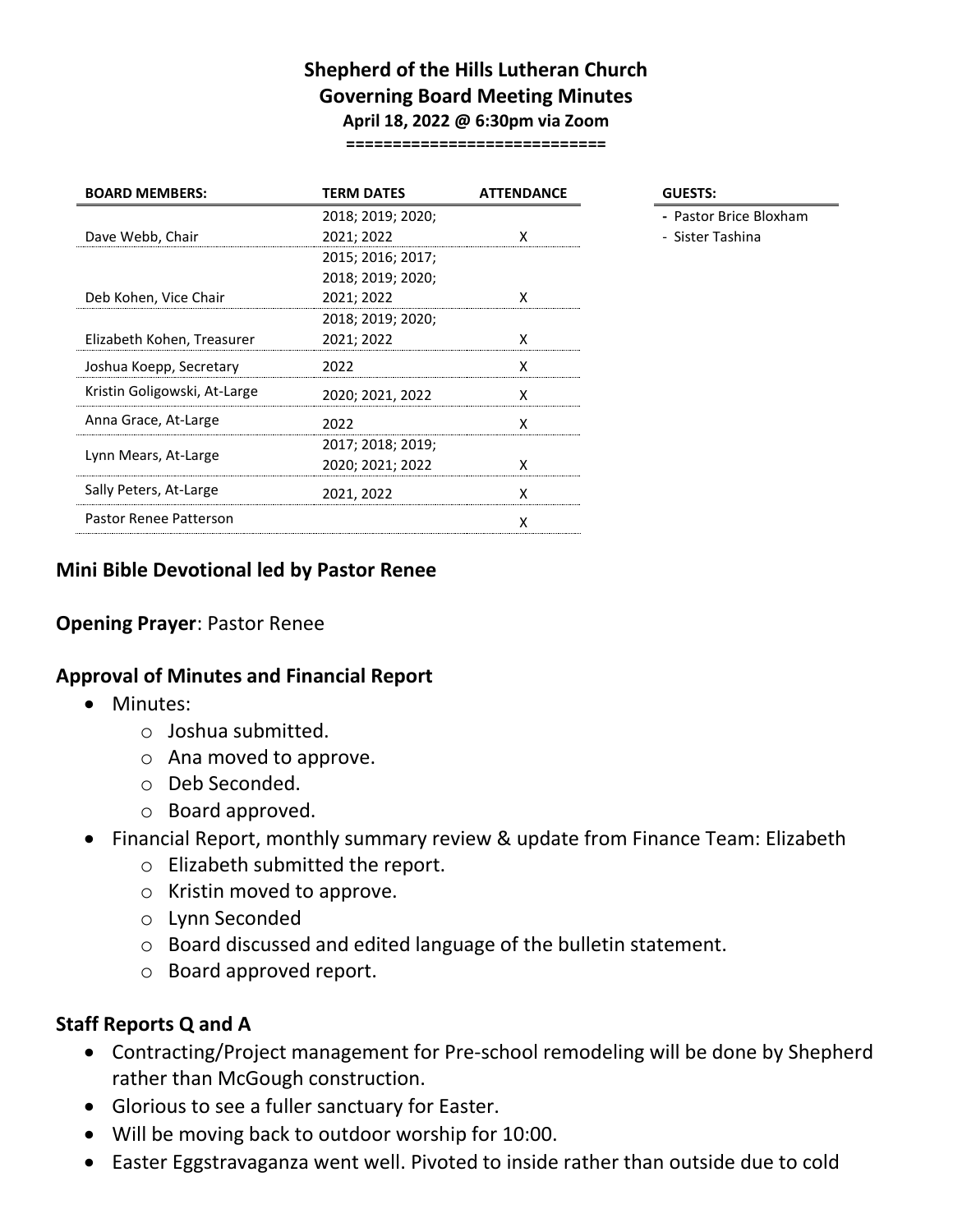## **Shepherd of the Hills Lutheran Church Governing Board Meeting Minutes April 18, 2022 @ 6:30pm via Zoom**

**============================**

| <b>BOARD MEMBERS:</b>        | <b>TERM DATES</b> | <b>ATTENDANCE</b> | <b>GUESTS:</b> |
|------------------------------|-------------------|-------------------|----------------|
|                              | 2018; 2019; 2020; |                   | - Pastor       |
| Dave Webb, Chair             | 2021; 2022        | χ                 | - Sister 1     |
|                              | 2015; 2016; 2017; |                   |                |
|                              | 2018; 2019; 2020; |                   |                |
| Deb Kohen, Vice Chair        | 2021; 2022        | χ                 |                |
|                              | 2018; 2019; 2020; |                   |                |
| Elizabeth Kohen, Treasurer   | 2021; 2022        | x                 |                |
| Joshua Koepp, Secretary      | 2022              | x                 |                |
| Kristin Goligowski, At-Large | 2020; 2021, 2022  | x                 |                |
| Anna Grace, At-Large         | 2022              | x                 |                |
| Lynn Mears, At-Large         | 2017; 2018; 2019; |                   |                |
|                              | 2020; 2021; 2022  | x                 |                |
| Sally Peters, At-Large       | 2021, 2022        | x                 |                |
| Pastor Renee Patterson       |                   | x                 |                |
|                              |                   |                   |                |

- Pastor Brice Bloxham
- Sister Tashina

### **Mini Bible Devotional led by Pastor Renee**

## **Opening Prayer**: Pastor Renee

#### **Approval of Minutes and Financial Report**

- Minutes:
	- o Joshua submitted.
	- o Ana moved to approve.
	- o Deb Seconded.
	- o Board approved.
- Financial Report, monthly summary review & update from Finance Team: Elizabeth
	- o Elizabeth submitted the report.
	- o Kristin moved to approve.
	- o Lynn Seconded
	- o Board discussed and edited language of the bulletin statement.
	- o Board approved report.

#### **Staff Reports Q and A**

- Contracting/Project management for Pre-school remodeling will be done by Shepherd rather than McGough construction.
- Glorious to see a fuller sanctuary for Easter.
- Will be moving back to outdoor worship for 10:00.
- Easter Eggstravaganza went well. Pivoted to inside rather than outside due to cold